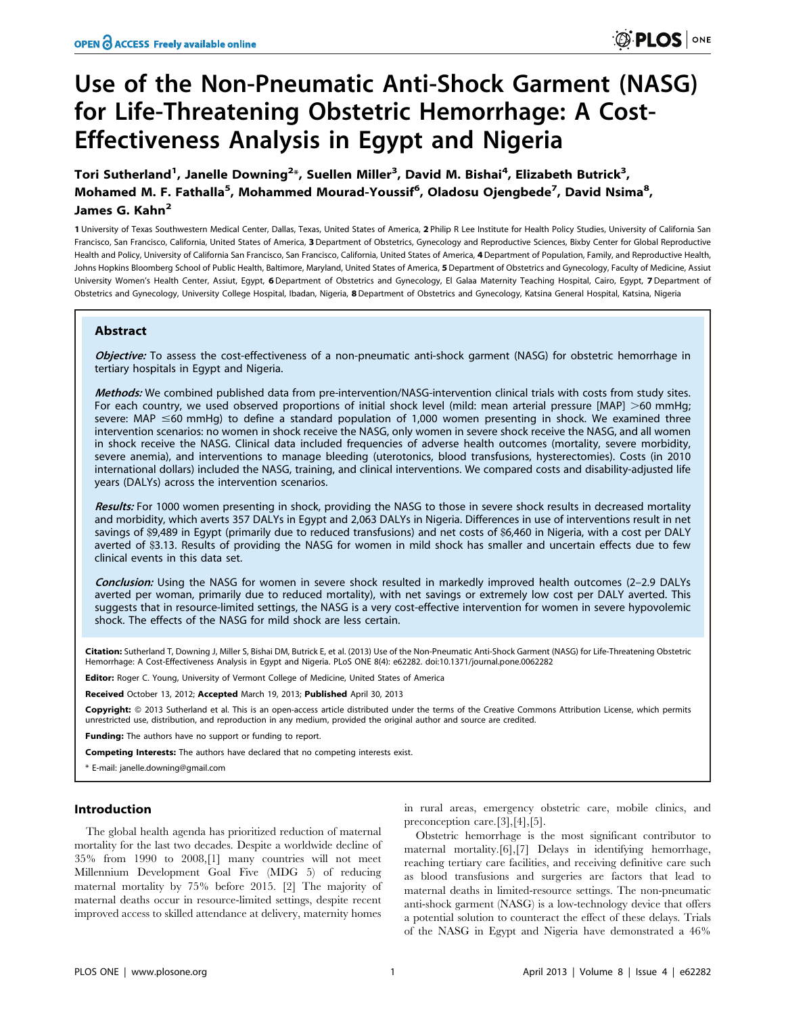# Use of the Non-Pneumatic Anti-Shock Garment (NASG) for Life-Threatening Obstetric Hemorrhage: A Cost-Effectiveness Analysis in Egypt and Nigeria

Tori Sutherland<sup>1</sup>, Janelle Downing<sup>2</sup>\*, Suellen Miller<sup>3</sup>, David M. Bishai<sup>4</sup>, Elizabeth Butrick<sup>3</sup>, Mohamed M. F. Fathalla<sup>5</sup>, Mohammed Mourad-Youssif<sup>6</sup>, Oladosu Ojengbede<sup>7</sup>, David Nsima<sup>8</sup>, James G. Kahn<sup>2</sup>

1 University of Texas Southwestern Medical Center, Dallas, Texas, United States of America, 2 Philip R Lee Institute for Health Policy Studies, University of California San Francisco, San Francisco, California, United States of America, 3 Department of Obstetrics, Gynecology and Reproductive Sciences, Bixby Center for Global Reproductive Health and Policy, University of California San Francisco, San Francisco, California, United States of America, 4Department of Population, Family, and Reproductive Health, Johns Hopkins Bloomberg School of Public Health, Baltimore, Maryland, United States of America, 5 Department of Obstetrics and Gynecology, Faculty of Medicine, Assiut University Women's Health Center, Assiut, Egypt, 6 Department of Obstetrics and Gynecology, El Galaa Maternity Teaching Hospital, Cairo, Egypt, 7 Department of Obstetrics and Gynecology, University College Hospital, Ibadan, Nigeria, 8 Department of Obstetrics and Gynecology, Katsina General Hospital, Katsina, Nigeria

# Abstract

Objective: To assess the cost-effectiveness of a non-pneumatic anti-shock garment (NASG) for obstetric hemorrhage in tertiary hospitals in Egypt and Nigeria.

Methods: We combined published data from pre-intervention/NASG-intervention clinical trials with costs from study sites. For each country, we used observed proportions of initial shock level (mild: mean arterial pressure [MAP]  $>$ 60 mmHg; severe: MAP  $\leq$ 60 mmHg) to define a standard population of 1,000 women presenting in shock. We examined three intervention scenarios: no women in shock receive the NASG, only women in severe shock receive the NASG, and all women in shock receive the NASG. Clinical data included frequencies of adverse health outcomes (mortality, severe morbidity, severe anemia), and interventions to manage bleeding (uterotonics, blood transfusions, hysterectomies). Costs (in 2010 international dollars) included the NASG, training, and clinical interventions. We compared costs and disability-adjusted life years (DALYs) across the intervention scenarios.

Results: For 1000 women presenting in shock, providing the NASG to those in severe shock results in decreased mortality and morbidity, which averts 357 DALYs in Egypt and 2,063 DALYs in Nigeria. Differences in use of interventions result in net savings of \$9,489 in Egypt (primarily due to reduced transfusions) and net costs of \$6,460 in Nigeria, with a cost per DALY averted of \$3.13. Results of providing the NASG for women in mild shock has smaller and uncertain effects due to few clinical events in this data set.

Conclusion: Using the NASG for women in severe shock resulted in markedly improved health outcomes (2-2.9 DALYs averted per woman, primarily due to reduced mortality), with net savings or extremely low cost per DALY averted. This suggests that in resource-limited settings, the NASG is a very cost-effective intervention for women in severe hypovolemic shock. The effects of the NASG for mild shock are less certain.

Citation: Sutherland T, Downing J, Miller S, Bishai DM, Butrick E, et al. (2013) Use of the Non-Pneumatic Anti-Shock Garment (NASG) for Life-Threatening Obstetric Hemorrhage: A Cost-Effectiveness Analysis in Egypt and Nigeria. PLoS ONE 8(4): e62282. doi:10.1371/journal.pone.0062282

Editor: Roger C. Young, University of Vermont College of Medicine, United States of America

Received October 13, 2012; Accepted March 19, 2013; Published April 30, 2013

Copyright: © 2013 Sutherland et al. This is an open-access article distributed under the terms of the Creative Commons Attribution License, which permits unrestricted use, distribution, and reproduction in any medium, provided the original author and source are credited.

Funding: The authors have no support or funding to report.

Competing Interests: The authors have declared that no competing interests exist.

\* E-mail: janelle.downing@gmail.com

## Introduction

The global health agenda has prioritized reduction of maternal mortality for the last two decades. Despite a worldwide decline of 35% from 1990 to 2008,[1] many countries will not meet Millennium Development Goal Five (MDG 5) of reducing maternal mortality by 75% before 2015. [2] The majority of maternal deaths occur in resource-limited settings, despite recent improved access to skilled attendance at delivery, maternity homes

in rural areas, emergency obstetric care, mobile clinics, and preconception care.[3],[4],[5].

Obstetric hemorrhage is the most significant contributor to maternal mortality.[6],[7] Delays in identifying hemorrhage, reaching tertiary care facilities, and receiving definitive care such as blood transfusions and surgeries are factors that lead to maternal deaths in limited-resource settings. The non-pneumatic anti-shock garment (NASG) is a low-technology device that offers a potential solution to counteract the effect of these delays. Trials of the NASG in Egypt and Nigeria have demonstrated a 46%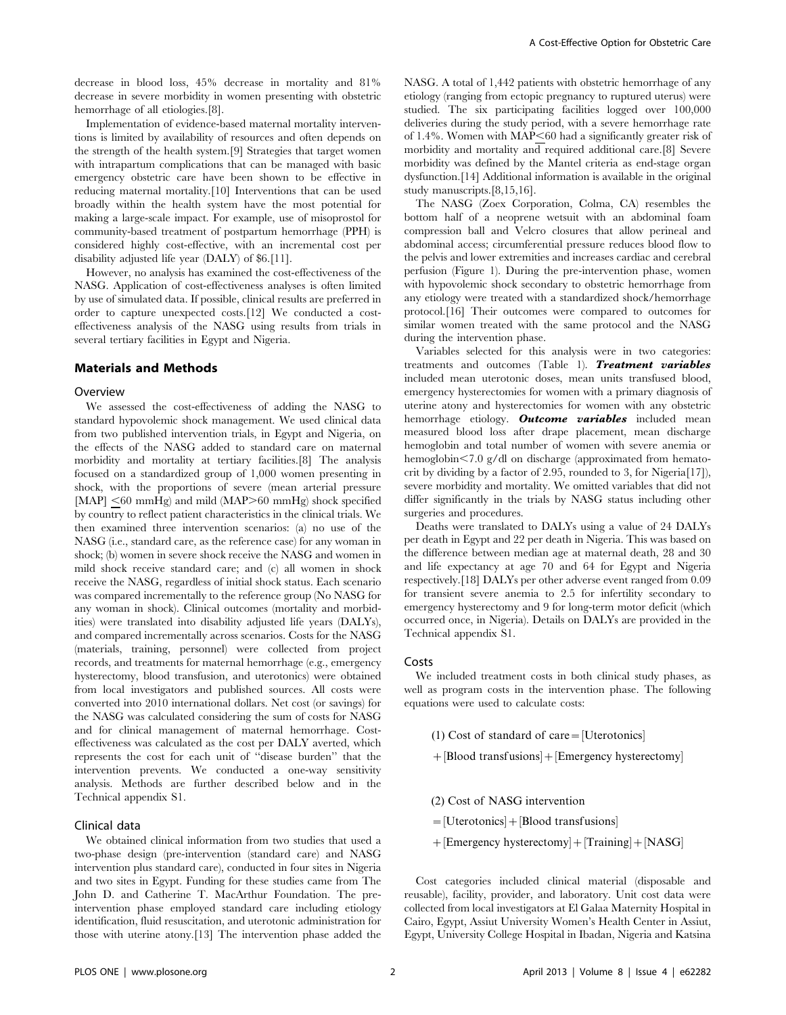decrease in blood loss, 45% decrease in mortality and 81% decrease in severe morbidity in women presenting with obstetric hemorrhage of all etiologies.[8].

Implementation of evidence-based maternal mortality interventions is limited by availability of resources and often depends on the strength of the health system.[9] Strategies that target women with intrapartum complications that can be managed with basic emergency obstetric care have been shown to be effective in reducing maternal mortality.[10] Interventions that can be used broadly within the health system have the most potential for making a large-scale impact. For example, use of misoprostol for community-based treatment of postpartum hemorrhage (PPH) is considered highly cost-effective, with an incremental cost per disability adjusted life year (DALY) of \$6.[11].

However, no analysis has examined the cost-effectiveness of the NASG. Application of cost-effectiveness analyses is often limited by use of simulated data. If possible, clinical results are preferred in order to capture unexpected costs.[12] We conducted a costeffectiveness analysis of the NASG using results from trials in several tertiary facilities in Egypt and Nigeria.

#### Materials and Methods

## Overview

We assessed the cost-effectiveness of adding the NASG to standard hypovolemic shock management. We used clinical data from two published intervention trials, in Egypt and Nigeria, on the effects of the NASG added to standard care on maternal morbidity and mortality at tertiary facilities.[8] The analysis focused on a standardized group of 1,000 women presenting in shock, with the proportions of severe (mean arterial pressure  $[MAP] < 60$  mmHg) and mild  $(MAP>60$  mmHg) shock specified by country to reflect patient characteristics in the clinical trials. We then examined three intervention scenarios: (a) no use of the NASG (i.e., standard care, as the reference case) for any woman in shock; (b) women in severe shock receive the NASG and women in mild shock receive standard care; and (c) all women in shock receive the NASG, regardless of initial shock status. Each scenario was compared incrementally to the reference group (No NASG for any woman in shock). Clinical outcomes (mortality and morbidities) were translated into disability adjusted life years (DALYs), and compared incrementally across scenarios. Costs for the NASG (materials, training, personnel) were collected from project records, and treatments for maternal hemorrhage (e.g., emergency hysterectomy, blood transfusion, and uterotonics) were obtained from local investigators and published sources. All costs were converted into 2010 international dollars. Net cost (or savings) for the NASG was calculated considering the sum of costs for NASG and for clinical management of maternal hemorrhage. Costeffectiveness was calculated as the cost per DALY averted, which represents the cost for each unit of ''disease burden'' that the intervention prevents. We conducted a one-way sensitivity analysis. Methods are further described below and in the Technical appendix S1.

## Clinical data

We obtained clinical information from two studies that used a two-phase design (pre-intervention (standard care) and NASG intervention plus standard care), conducted in four sites in Nigeria and two sites in Egypt. Funding for these studies came from The John D. and Catherine T. MacArthur Foundation. The preintervention phase employed standard care including etiology identification, fluid resuscitation, and uterotonic administration for those with uterine atony.[13] The intervention phase added the

NASG. A total of 1,442 patients with obstetric hemorrhage of any etiology (ranging from ectopic pregnancy to ruptured uterus) were studied. The six participating facilities logged over 100,000 deliveries during the study period, with a severe hemorrhage rate of 1.4%. Women with  $MAP<60$  had a significantly greater risk of morbidity and mortality and required additional care.[8] Severe morbidity was defined by the Mantel criteria as end-stage organ dysfunction.[14] Additional information is available in the original study manuscripts.[8,15,16].

The NASG (Zoex Corporation, Colma, CA) resembles the bottom half of a neoprene wetsuit with an abdominal foam compression ball and Velcro closures that allow perineal and abdominal access; circumferential pressure reduces blood flow to the pelvis and lower extremities and increases cardiac and cerebral perfusion (Figure 1). During the pre-intervention phase, women with hypovolemic shock secondary to obstetric hemorrhage from any etiology were treated with a standardized shock/hemorrhage protocol.[16] Their outcomes were compared to outcomes for similar women treated with the same protocol and the NASG during the intervention phase.

Variables selected for this analysis were in two categories: treatments and outcomes (Table 1). Treatment variables included mean uterotonic doses, mean units transfused blood, emergency hysterectomies for women with a primary diagnosis of uterine atony and hysterectomies for women with any obstetric hemorrhage etiology. **Outcome variables** included mean measured blood loss after drape placement, mean discharge hemoglobin and total number of women with severe anemia or hemoglobin<7.0 g/dl on discharge (approximated from hematocrit by dividing by a factor of 2.95, rounded to 3, for Nigeria[17]), severe morbidity and mortality. We omitted variables that did not differ significantly in the trials by NASG status including other surgeries and procedures.

Deaths were translated to DALYs using a value of 24 DALYs per death in Egypt and 22 per death in Nigeria. This was based on the difference between median age at maternal death, 28 and 30 and life expectancy at age 70 and 64 for Egypt and Nigeria respectively.[18] DALYs per other adverse event ranged from 0.09 for transient severe anemia to 2.5 for infertility secondary to emergency hysterectomy and 9 for long-term motor deficit (which occurred once, in Nigeria). Details on DALYs are provided in the Technical appendix S1.

#### Costs

We included treatment costs in both clinical study phases, as well as program costs in the intervention phase. The following equations were used to calculate costs:

- (1) Cost of standard of care  $=[Uterotonics]$
- + [Blood transfusions] + [Emergency hysterectomy]
- (2) Cost of NASG intervention
- $=[Uterotonics] + [Blood transforms]$
- + [Emergency hysterectomy] + [Training] + [NASG]

Cost categories included clinical material (disposable and reusable), facility, provider, and laboratory. Unit cost data were collected from local investigators at El Galaa Maternity Hospital in Cairo, Egypt, Assiut University Women's Health Center in Assiut, Egypt, University College Hospital in Ibadan, Nigeria and Katsina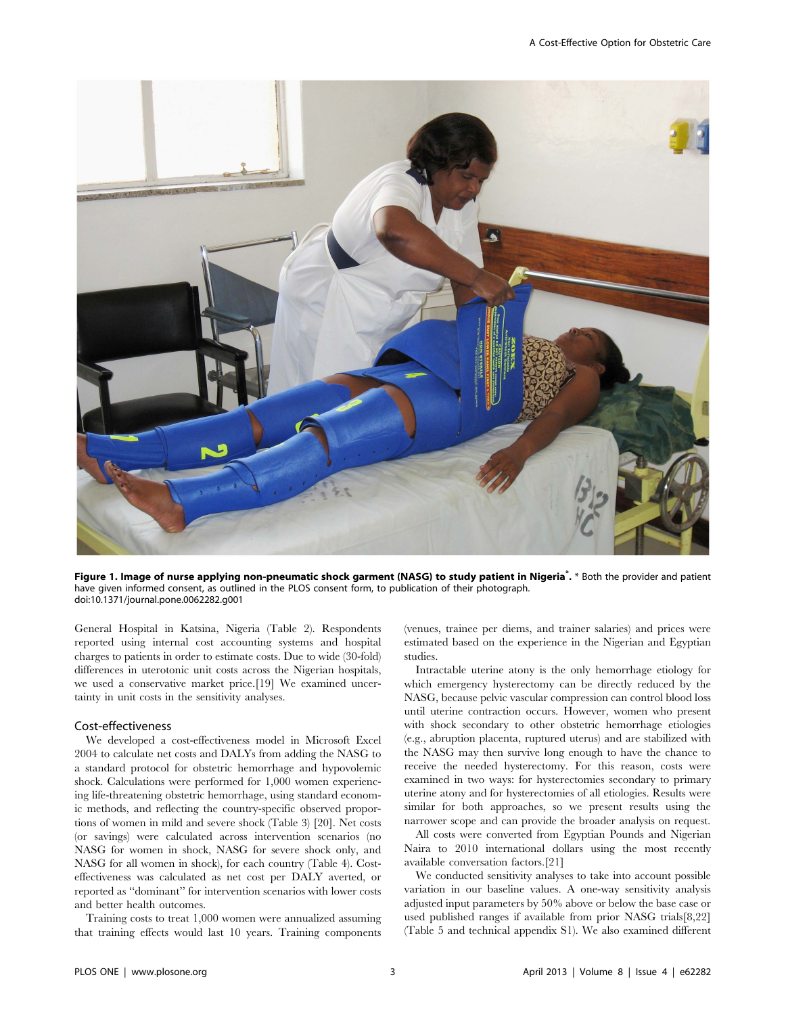

Figure 1. Image of nurse applying non-pneumatic shock garment (NASG) to study patient in Nigeria<sup>\*</sup>. \* Both the provider and patient have given informed consent, as outlined in the PLOS consent form, to publication of their photograph. doi:10.1371/journal.pone.0062282.g001

General Hospital in Katsina, Nigeria (Table 2). Respondents reported using internal cost accounting systems and hospital charges to patients in order to estimate costs. Due to wide (30-fold) differences in uterotonic unit costs across the Nigerian hospitals, we used a conservative market price.[19] We examined uncertainty in unit costs in the sensitivity analyses.

## Cost-effectiveness

We developed a cost-effectiveness model in Microsoft Excel 2004 to calculate net costs and DALYs from adding the NASG to a standard protocol for obstetric hemorrhage and hypovolemic shock. Calculations were performed for 1,000 women experiencing life-threatening obstetric hemorrhage, using standard economic methods, and reflecting the country-specific observed proportions of women in mild and severe shock (Table 3) [20]. Net costs (or savings) were calculated across intervention scenarios (no NASG for women in shock, NASG for severe shock only, and NASG for all women in shock), for each country (Table 4). Costeffectiveness was calculated as net cost per DALY averted, or reported as ''dominant'' for intervention scenarios with lower costs and better health outcomes.

Training costs to treat 1,000 women were annualized assuming that training effects would last 10 years. Training components (venues, trainee per diems, and trainer salaries) and prices were estimated based on the experience in the Nigerian and Egyptian studies.

Intractable uterine atony is the only hemorrhage etiology for which emergency hysterectomy can be directly reduced by the NASG, because pelvic vascular compression can control blood loss until uterine contraction occurs. However, women who present with shock secondary to other obstetric hemorrhage etiologies (e.g., abruption placenta, ruptured uterus) and are stabilized with the NASG may then survive long enough to have the chance to receive the needed hysterectomy. For this reason, costs were examined in two ways: for hysterectomies secondary to primary uterine atony and for hysterectomies of all etiologies. Results were similar for both approaches, so we present results using the narrower scope and can provide the broader analysis on request.

All costs were converted from Egyptian Pounds and Nigerian Naira to 2010 international dollars using the most recently available conversation factors.[21]

We conducted sensitivity analyses to take into account possible variation in our baseline values. A one-way sensitivity analysis adjusted input parameters by 50% above or below the base case or used published ranges if available from prior NASG trials[8,22] (Table 5 and technical appendix S1). We also examined different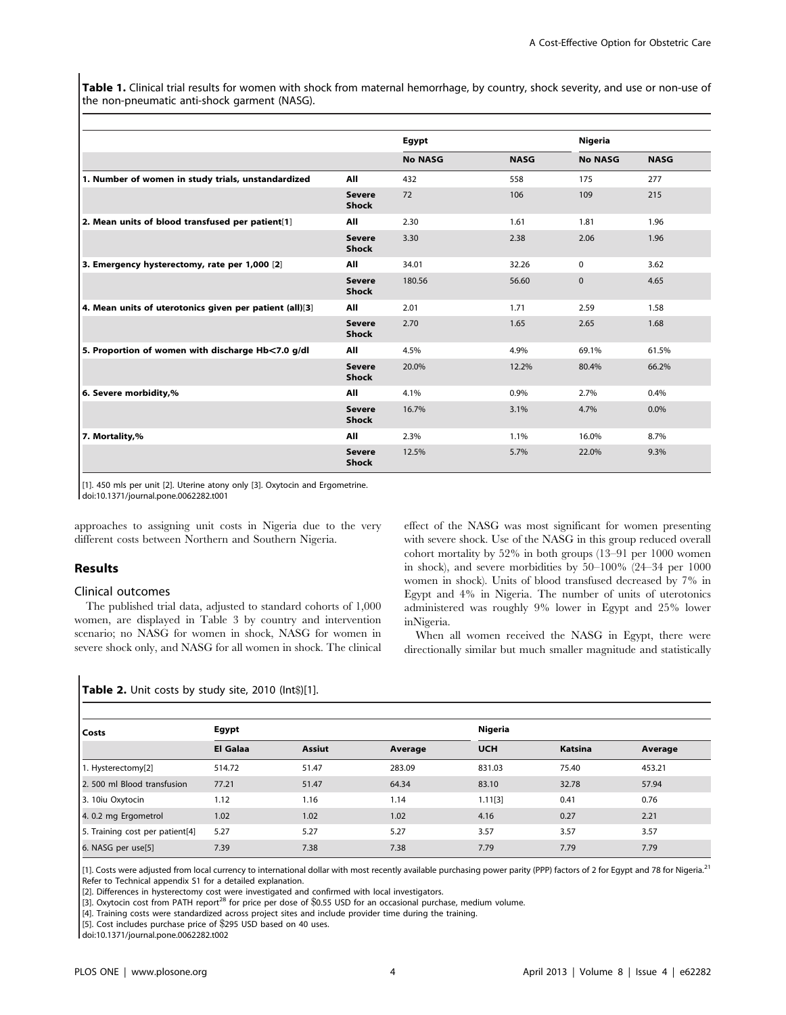Table 1. Clinical trial results for women with shock from maternal hemorrhage, by country, shock severity, and use or non-use of the non-pneumatic anti-shock garment (NASG).

|                                                         |                               | Egypt          |             | Nigeria        |             |
|---------------------------------------------------------|-------------------------------|----------------|-------------|----------------|-------------|
|                                                         |                               | <b>No NASG</b> | <b>NASG</b> | <b>No NASG</b> | <b>NASG</b> |
| 1. Number of women in study trials, unstandardized      | All                           | 432            | 558         | 175            | 277         |
|                                                         | <b>Severe</b><br><b>Shock</b> | 72             | 106         | 109            | 215         |
| 2. Mean units of blood transfused per patient[1]        | All                           | 2.30           | 1.61        | 1.81           | 1.96        |
|                                                         | <b>Severe</b><br><b>Shock</b> | 3.30           | 2.38        | 2.06           | 1.96        |
| 3. Emergency hysterectomy, rate per 1,000 [2]           | All                           | 34.01          | 32.26       | 0              | 3.62        |
|                                                         | <b>Severe</b><br><b>Shock</b> | 180.56         | 56.60       | $\mathbf{0}$   | 4.65        |
| 4. Mean units of uterotonics given per patient (all)[3] | All                           | 2.01           | 1.71        | 2.59           | 1.58        |
|                                                         | <b>Severe</b><br><b>Shock</b> | 2.70           | 1.65        | 2.65           | 1.68        |
| 5. Proportion of women with discharge Hb<7.0 g/dl       | All                           | 4.5%           | 4.9%        | 69.1%          | 61.5%       |
|                                                         | <b>Severe</b><br><b>Shock</b> | 20.0%          | 12.2%       | 80.4%          | 66.2%       |
| 6. Severe morbidity,%                                   | All                           | 4.1%           | 0.9%        | 2.7%           | 0.4%        |
|                                                         | <b>Severe</b><br><b>Shock</b> | 16.7%          | 3.1%        | 4.7%           | 0.0%        |
| 7. Mortality,%                                          | All                           | 2.3%           | 1.1%        | 16.0%          | 8.7%        |
|                                                         | <b>Severe</b><br><b>Shock</b> | 12.5%          | 5.7%        | 22.0%          | 9.3%        |

[1]. 450 mls per unit [2]. Uterine atony only [3]. Oxytocin and Ergometrine. doi:10.1371/journal.pone.0062282.t001

approaches to assigning unit costs in Nigeria due to the very different costs between Northern and Southern Nigeria.

# Results

## Clinical outcomes

The published trial data, adjusted to standard cohorts of 1,000 women, are displayed in Table 3 by country and intervention scenario; no NASG for women in shock, NASG for women in severe shock only, and NASG for all women in shock. The clinical effect of the NASG was most significant for women presenting with severe shock. Use of the NASG in this group reduced overall cohort mortality by 52% in both groups (13–91 per 1000 women in shock), and severe morbidities by 50–100% (24–34 per 1000 women in shock). Units of blood transfused decreased by 7% in Egypt and 4% in Nigeria. The number of units of uterotonics administered was roughly 9% lower in Egypt and 25% lower inNigeria.

When all women received the NASG in Egypt, there were directionally similar but much smaller magnitude and statistically

| Costs                           | Egypt    |               |         | Nigeria    |         |         |  |  |
|---------------------------------|----------|---------------|---------|------------|---------|---------|--|--|
|                                 | El Galaa | <b>Assiut</b> | Average | <b>UCH</b> | Katsina | Average |  |  |
| 1. Hysterectomy[2]              | 514.72   | 51.47         | 283.09  | 831.03     | 75.40   | 453.21  |  |  |
| 2.500 ml Blood transfusion      | 77.21    | 51.47         | 64.34   | 83.10      | 32.78   | 57.94   |  |  |
| 3. 10iu Oxytocin                | 1.12     | 1.16          | 1.14    | 1.11[3]    | 0.41    | 0.76    |  |  |
| 4.0.2 mg Ergometrol             | 1.02     | 1.02          | 1.02    | 4.16       | 0.27    | 2.21    |  |  |
| 5. Training cost per patient[4] | 5.27     | 5.27          | 5.27    | 3.57       | 3.57    | 3.57    |  |  |
| 6. NASG per use[5]              | 7.39     | 7.38          | 7.38    | 7.79       | 7.79    | 7.79    |  |  |

Table 2. Unit costs by study site, 2010 (Int\$)[1].

[1]. Costs were adjusted from local currency to international dollar with most recently available purchasing power parity (PPP) factors of 2 for Egypt and 78 for Nigeria.<sup>21</sup> Refer to Technical appendix S1 for a detailed explanation.

[2]. Differences in hysterectomy cost were investigated and confirmed with local investigators.

[3]. Oxytocin cost from PATH report<sup>28</sup> for price per dose of \$0.55 USD for an occasional purchase, medium volume.

[4]. Training costs were standardized across project sites and include provider time during the training.

[5]. Cost includes purchase price of \$295 USD based on 40 uses.

doi:10.1371/journal.pone.0062282.t002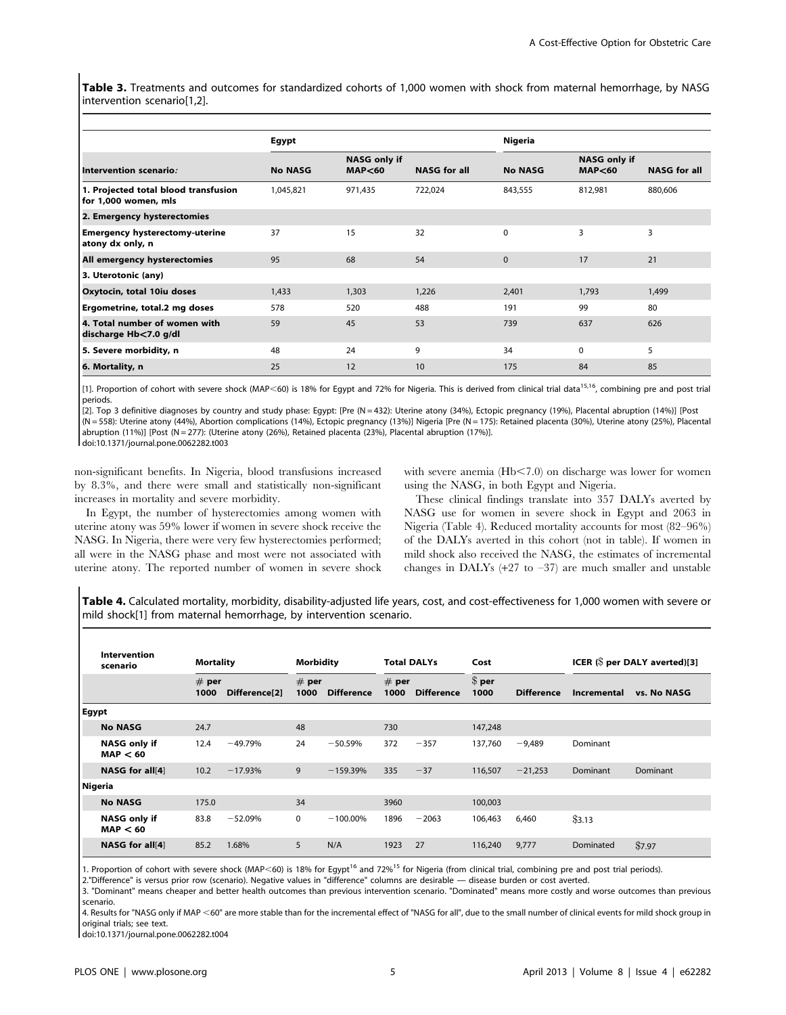Table 3. Treatments and outcomes for standardized cohorts of 1,000 women with shock from maternal hemorrhage, by NASG intervention scenario[1,2].

|                                                              | Egypt          |                                 |                     | <b>Nigeria</b> |                                 |                     |
|--------------------------------------------------------------|----------------|---------------------------------|---------------------|----------------|---------------------------------|---------------------|
| Intervention scenario.                                       | <b>No NASG</b> | <b>NASG only if</b><br>MAP < 60 | <b>NASG for all</b> | <b>No NASG</b> | <b>NASG only if</b><br>MAP < 60 | <b>NASG for all</b> |
| 1. Projected total blood transfusion<br>for 1,000 women, mls | 1,045,821      | 971,435                         | 722,024             | 843,555        | 812,981                         | 880,606             |
| 2. Emergency hysterectomies                                  |                |                                 |                     |                |                                 |                     |
| <b>Emergency hysterectomy-uterine</b><br>atony dx only, n    | 37             | 15                              | 32                  | 0              | 3                               | 3                   |
| All emergency hysterectomies                                 | 95             | 68                              | 54                  | $\mathbf 0$    | 17                              | 21                  |
| 3. Uterotonic (any)                                          |                |                                 |                     |                |                                 |                     |
| Oxytocin, total 10iu doses                                   | 1,433          | 1,303                           | 1,226               | 2,401          | 1,793                           | 1,499               |
| Ergometrine, total.2 mg doses                                | 578            | 520                             | 488                 | 191            | 99                              | 80                  |
| 4. Total number of women with<br>discharge Hb<7.0 g/dl       | 59             | 45                              | 53                  | 739            | 637                             | 626                 |
| 5. Severe morbidity, n                                       | 48             | 24                              | 9                   | 34             | $\Omega$                        | 5                   |
| 6. Mortality, n                                              | 25             | 12                              | 10                  | 175            | 84                              | 85                  |

[1]. Proportion of cohort with severe shock (MAP<60) is 18% for Egypt and 72% for Nigeria. This is derived from clinical trial data<sup>15,16</sup>, combining pre and post trial periods.

[2]. Top 3 definitive diagnoses by country and study phase: Egypt: [Pre (N = 432): Uterine atony (34%), Ectopic pregnancy (19%), Placental abruption (14%)] [Post (N = 558): Uterine atony (44%), Abortion complications (14%), Ectopic pregnancy (13%)] Nigeria [Pre (N = 175): Retained placenta (30%), Uterine atony (25%), Placental abruption (11%)] [Post (N = 277): (Uterine atony (26%), Retained placenta (23%), Placental abruption (17%)].

doi:10.1371/journal.pone.0062282.t003

non-significant benefits. In Nigeria, blood transfusions increased by 8.3%, and there were small and statistically non-significant increases in mortality and severe morbidity.

with severe anemia  $(Hb<7.0)$  on discharge was lower for women using the NASG, in both Egypt and Nigeria.

In Egypt, the number of hysterectomies among women with uterine atony was 59% lower if women in severe shock receive the NASG. In Nigeria, there were very few hysterectomies performed; all were in the NASG phase and most were not associated with uterine atony. The reported number of women in severe shock

These clinical findings translate into 357 DALYs averted by NASG use for women in severe shock in Egypt and 2063 in Nigeria (Table 4). Reduced mortality accounts for most (82–96%) of the DALYs averted in this cohort (not in table). If women in mild shock also received the NASG, the estimates of incremental changes in DALYs  $(+27 \text{ to } -37)$  are much smaller and unstable

Table 4. Calculated mortality, morbidity, disability-adjusted life years, cost, and cost-effectiveness for 1,000 women with severe or mild shock[1] from maternal hemorrhage, by intervention scenario.

| <b>Intervention</b><br><b>Mortality</b><br>scenario |                 | <b>Morbidity</b>          |                 | <b>Total DALYs</b> |                 | Cost              |                 | ICER $(\S$ per DALY averted)[3] |             |                 |
|-----------------------------------------------------|-----------------|---------------------------|-----------------|--------------------|-----------------|-------------------|-----------------|---------------------------------|-------------|-----------------|
|                                                     | $#$ per<br>1000 | Difference <sup>[2]</sup> | $#$ per<br>1000 | <b>Difference</b>  | $#$ per<br>1000 | <b>Difference</b> | $$$ per<br>1000 | <b>Difference</b>               | Incremental | vs. No NASG     |
| <b>Egypt</b>                                        |                 |                           |                 |                    |                 |                   |                 |                                 |             |                 |
| <b>No NASG</b>                                      | 24.7            |                           | 48              |                    | 730             |                   | 147,248         |                                 |             |                 |
| <b>NASG only if</b><br>MAP < 60                     | 12.4            | $-49.79%$                 | 24              | $-50.59%$          | 372             | $-357$            | 137,760         | $-9,489$                        | Dominant    |                 |
| NASG for all[4]                                     | 10.2            | $-17.93%$                 | 9               | $-159.39%$         | 335             | $-37$             | 116,507         | $-21,253$                       | Dominant    | <b>Dominant</b> |
| Nigeria                                             |                 |                           |                 |                    |                 |                   |                 |                                 |             |                 |
| <b>No NASG</b>                                      | 175.0           |                           | 34              |                    | 3960            |                   | 100,003         |                                 |             |                 |
| <b>NASG only if</b><br>MAP < 60                     | 83.8            | $-52.09%$                 | 0               | $-100.00\%$        | 1896            | $-2063$           | 106,463         | 6,460                           | \$3.13      |                 |
| NASG for all[4]                                     | 85.2            | 1.68%                     | 5               | N/A                | 1923            | 27                | 116,240         | 9,777                           | Dominated   | \$7.97          |

1. Proportion of cohort with severe shock (MAP<60) is 18% for Egypt<sup>16</sup> and 72%<sup>15</sup> for Nigeria (from clinical trial, combining pre and post trial periods).

2."Difference" is versus prior row (scenario). Negative values in "difference" columns are desirable — disease burden or cost averted.

3. "Dominant" means cheaper and better health outcomes than previous intervention scenario. "Dominated" means more costly and worse outcomes than previous scenario.

4. Results for "NASG only if MAP <60" are more stable than for the incremental effect of "NASG for all", due to the small number of clinical events for mild shock group in original trials; see text.

doi:10.1371/journal.pone.0062282.t004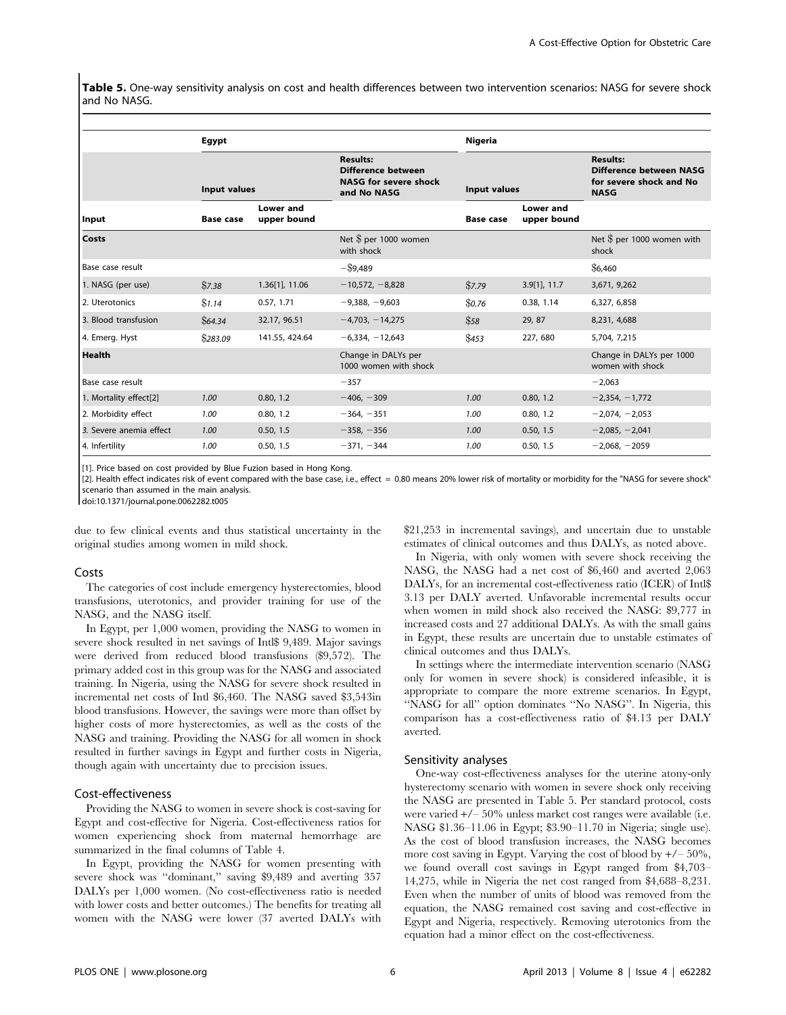Table 5. One-way sensitivity analysis on cost and health differences between two intervention scenarios: NASG for severe shock and No NASG.

|                                                              | Egypt        |                |                                                                                             | Nigeria                         |                 |                                                                                      |  |  |
|--------------------------------------------------------------|--------------|----------------|---------------------------------------------------------------------------------------------|---------------------------------|-----------------|--------------------------------------------------------------------------------------|--|--|
|                                                              | Input values |                | <b>Results:</b><br><b>Difference between</b><br><b>NASG</b> for severe shock<br>and No NASG | Input values                    |                 | <b>Results:</b><br>Difference between NASG<br>for severe shock and No<br><b>NASG</b> |  |  |
| <b>Lower</b> and<br>upper bound<br>Input<br><b>Base case</b> |              |                | <b>Base case</b>                                                                            | <b>Lower</b> and<br>upper bound |                 |                                                                                      |  |  |
| <b>Costs</b>                                                 |              |                | Net $$$ per 1000 women<br>with shock                                                        |                                 |                 | Net $$$ per 1000 women with<br>shock                                                 |  |  |
| Base case result                                             |              |                | $-$ \$9,489                                                                                 |                                 |                 | \$6,460                                                                              |  |  |
| 1. NASG (per use)                                            | \$7.38       | 1.36[1], 11.06 | $-10,572, -8,828$                                                                           | \$7.79                          | $3.9[1]$ , 11.7 | 3,671, 9,262                                                                         |  |  |
| 2. Uterotonics                                               | \$1.14       | 0.57, 1.71     | $-9,388, -9,603$                                                                            | \$0.76                          | 0.38, 1.14      | 6,327, 6,858                                                                         |  |  |
| 3. Blood transfusion                                         | \$64.34      | 32.17, 96.51   | $-4,703, -14,275$                                                                           | \$58                            | 29, 87          | 8,231, 4,688                                                                         |  |  |
| 4. Emerg. Hyst                                               | \$283.09     | 141.55, 424.64 | $-6,334, -12,643$                                                                           | \$453                           | 227, 680        | 5,704, 7,215                                                                         |  |  |
| <b>Health</b>                                                |              |                | Change in DALYs per<br>1000 women with shock                                                |                                 |                 | Change in DALYs per 1000<br>women with shock                                         |  |  |
| Base case result                                             |              |                | $-357$                                                                                      |                                 |                 | $-2,063$                                                                             |  |  |
| 1. Mortality effect[2]                                       | 1.00         | 0.80, 1.2      | $-406, -309$                                                                                | 1.00                            | 0.80, 1.2       | $-2,354, -1,772$                                                                     |  |  |
| 2. Morbidity effect                                          | 1.00         | 0.80, 1.2      | $-364, -351$                                                                                | 1.00                            | 0.80, 1.2       | $-2,074, -2,053$                                                                     |  |  |
| 3. Severe anemia effect                                      | 1.00         | 0.50, 1.5      | $-358, -356$                                                                                | 1.00                            | 0.50, 1.5       | $-2,085, -2,041$                                                                     |  |  |
| 4. Infertility                                               | 1.00         | 0.50, 1.5      | $-371, -344$                                                                                | 1.00                            | 0.50, 1.5       | $-2,068, -2059$                                                                      |  |  |

[1]. Price based on cost provided by Blue Fuzion based in Hong Kong.

[2]. Health effect indicates risk of event compared with the base case, i.e., effect = 0.80 means 20% lower risk of mortality or morbidity for the "NASG for severe shock" scenario than assumed in the main analysis.

doi:10.1371/journal.pone.0062282.t005

due to few clinical events and thus statistical uncertainty in the original studies among women in mild shock.

#### Costs

The categories of cost include emergency hysterectomies, blood transfusions, uterotonics, and provider training for use of the NASG, and the NASG itself.

In Egypt, per 1,000 women, providing the NASG to women in severe shock resulted in net savings of Intl\$ 9,489. Major savings were derived from reduced blood transfusions (\$9,572). The primary added cost in this group was for the NASG and associated training. In Nigeria, using the NASG for severe shock resulted in incremental net costs of Intl \$6,460. The NASG saved \$3,543in blood transfusions. However, the savings were more than offset by higher costs of more hysterectomies, as well as the costs of the NASG and training. Providing the NASG for all women in shock resulted in further savings in Egypt and further costs in Nigeria, though again with uncertainty due to precision issues.

#### Cost-effectiveness

Providing the NASG to women in severe shock is cost-saving for Egypt and cost-effective for Nigeria. Cost-effectiveness ratios for women experiencing shock from maternal hemorrhage are summarized in the final columns of Table 4.

In Egypt, providing the NASG for women presenting with severe shock was ''dominant,'' saving \$9,489 and averting 357 DALYs per 1,000 women. (No cost-effectiveness ratio is needed with lower costs and better outcomes.) The benefits for treating all women with the NASG were lower (37 averted DALYs with \$21,253 in incremental savings), and uncertain due to unstable estimates of clinical outcomes and thus DALYs, as noted above.

In Nigeria, with only women with severe shock receiving the NASG, the NASG had a net cost of \$6,460 and averted 2,063 DALYs, for an incremental cost-effectiveness ratio (ICER) of Intl\$ 3.13 per DALY averted. Unfavorable incremental results occur when women in mild shock also received the NASG: \$9,777 in increased costs and 27 additional DALYs. As with the small gains in Egypt, these results are uncertain due to unstable estimates of clinical outcomes and thus DALYs.

In settings where the intermediate intervention scenario (NASG only for women in severe shock) is considered infeasible, it is appropriate to compare the more extreme scenarios. In Egypt, ''NASG for all'' option dominates ''No NASG''. In Nigeria, this comparison has a cost-effectiveness ratio of \$4.13 per DALY averted.

#### Sensitivity analyses

One-way cost-effectiveness analyses for the uterine atony-only hysterectomy scenario with women in severe shock only receiving the NASG are presented in Table 5. Per standard protocol, costs were varied +/– 50% unless market cost ranges were available (i.e. NASG \$1.36–11.06 in Egypt; \$3.90–11.70 in Nigeria; single use). As the cost of blood transfusion increases, the NASG becomes more cost saving in Egypt. Varying the cost of blood by  $+/- 50\%$ , we found overall cost savings in Egypt ranged from \$4,703– 14,275, while in Nigeria the net cost ranged from \$4,688–8,231. Even when the number of units of blood was removed from the equation, the NASG remained cost saving and cost-effective in Egypt and Nigeria, respectively. Removing uterotonics from the equation had a minor effect on the cost-effectiveness.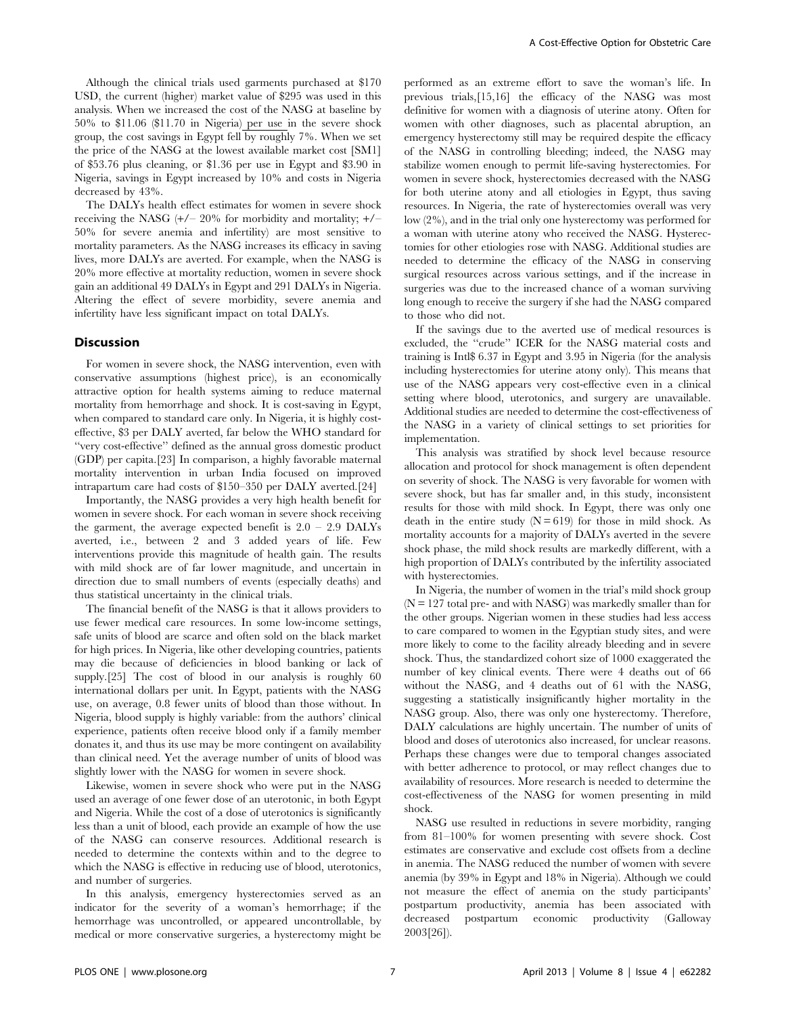Although the clinical trials used garments purchased at \$170 USD, the current (higher) market value of \$295 was used in this analysis. When we increased the cost of the NASG at baseline by 50% to \$11.06 (\$11.70 in Nigeria) per use in the severe shock group, the cost savings in Egypt fell by roughly 7%. When we set the price of the NASG at the lowest available market cost [SM1] of \$53.76 plus cleaning, or \$1.36 per use in Egypt and \$3.90 in Nigeria, savings in Egypt increased by 10% and costs in Nigeria decreased by 43%.

The DALYs health effect estimates for women in severe shock receiving the NASG  $(+/- 20\%$  for morbidity and mortality;  $+/-$ 50% for severe anemia and infertility) are most sensitive to mortality parameters. As the NASG increases its efficacy in saving lives, more DALYs are averted. For example, when the NASG is 20% more effective at mortality reduction, women in severe shock gain an additional 49 DALYs in Egypt and 291 DALYs in Nigeria. Altering the effect of severe morbidity, severe anemia and infertility have less significant impact on total DALYs.

#### Discussion

For women in severe shock, the NASG intervention, even with conservative assumptions (highest price), is an economically attractive option for health systems aiming to reduce maternal mortality from hemorrhage and shock. It is cost-saving in Egypt, when compared to standard care only. In Nigeria, it is highly costeffective, \$3 per DALY averted, far below the WHO standard for ''very cost-effective'' defined as the annual gross domestic product (GDP) per capita.[23] In comparison, a highly favorable maternal mortality intervention in urban India focused on improved intrapartum care had costs of \$150–350 per DALY averted.[24]

Importantly, the NASG provides a very high health benefit for women in severe shock. For each woman in severe shock receiving the garment, the average expected benefit is  $2.0 - 2.9$  DALYs averted, i.e., between 2 and 3 added years of life. Few interventions provide this magnitude of health gain. The results with mild shock are of far lower magnitude, and uncertain in direction due to small numbers of events (especially deaths) and thus statistical uncertainty in the clinical trials.

The financial benefit of the NASG is that it allows providers to use fewer medical care resources. In some low-income settings, safe units of blood are scarce and often sold on the black market for high prices. In Nigeria, like other developing countries, patients may die because of deficiencies in blood banking or lack of supply.<sup>[25]</sup> The cost of blood in our analysis is roughly 60 international dollars per unit. In Egypt, patients with the NASG use, on average, 0.8 fewer units of blood than those without. In Nigeria, blood supply is highly variable: from the authors' clinical experience, patients often receive blood only if a family member donates it, and thus its use may be more contingent on availability than clinical need. Yet the average number of units of blood was slightly lower with the NASG for women in severe shock.

Likewise, women in severe shock who were put in the NASG used an average of one fewer dose of an uterotonic, in both Egypt and Nigeria. While the cost of a dose of uterotonics is significantly less than a unit of blood, each provide an example of how the use of the NASG can conserve resources. Additional research is needed to determine the contexts within and to the degree to which the NASG is effective in reducing use of blood, uterotonics, and number of surgeries.

In this analysis, emergency hysterectomies served as an indicator for the severity of a woman's hemorrhage; if the hemorrhage was uncontrolled, or appeared uncontrollable, by medical or more conservative surgeries, a hysterectomy might be

performed as an extreme effort to save the woman's life. In previous trials,[15,16] the efficacy of the NASG was most definitive for women with a diagnosis of uterine atony. Often for women with other diagnoses, such as placental abruption, an emergency hysterectomy still may be required despite the efficacy of the NASG in controlling bleeding; indeed, the NASG may stabilize women enough to permit life-saving hysterectomies. For women in severe shock, hysterectomies decreased with the NASG for both uterine atony and all etiologies in Egypt, thus saving resources. In Nigeria, the rate of hysterectomies overall was very low (2%), and in the trial only one hysterectomy was performed for a woman with uterine atony who received the NASG. Hysterectomies for other etiologies rose with NASG. Additional studies are needed to determine the efficacy of the NASG in conserving surgical resources across various settings, and if the increase in surgeries was due to the increased chance of a woman surviving long enough to receive the surgery if she had the NASG compared to those who did not.

If the savings due to the averted use of medical resources is excluded, the ''crude'' ICER for the NASG material costs and training is Intl\$ 6.37 in Egypt and 3.95 in Nigeria (for the analysis including hysterectomies for uterine atony only). This means that use of the NASG appears very cost-effective even in a clinical setting where blood, uterotonics, and surgery are unavailable. Additional studies are needed to determine the cost-effectiveness of the NASG in a variety of clinical settings to set priorities for implementation.

This analysis was stratified by shock level because resource allocation and protocol for shock management is often dependent on severity of shock. The NASG is very favorable for women with severe shock, but has far smaller and, in this study, inconsistent results for those with mild shock. In Egypt, there was only one death in the entire study  $(N = 619)$  for those in mild shock. As mortality accounts for a majority of DALYs averted in the severe shock phase, the mild shock results are markedly different, with a high proportion of DALYs contributed by the infertility associated with hysterectomies.

In Nigeria, the number of women in the trial's mild shock group  $(N = 127$  total pre- and with NASG) was markedly smaller than for the other groups. Nigerian women in these studies had less access to care compared to women in the Egyptian study sites, and were more likely to come to the facility already bleeding and in severe shock. Thus, the standardized cohort size of 1000 exaggerated the number of key clinical events. There were 4 deaths out of 66 without the NASG, and 4 deaths out of 61 with the NASG, suggesting a statistically insignificantly higher mortality in the NASG group. Also, there was only one hysterectomy. Therefore, DALY calculations are highly uncertain. The number of units of blood and doses of uterotonics also increased, for unclear reasons. Perhaps these changes were due to temporal changes associated with better adherence to protocol, or may reflect changes due to availability of resources. More research is needed to determine the cost-effectiveness of the NASG for women presenting in mild shock.

NASG use resulted in reductions in severe morbidity, ranging from 81–100% for women presenting with severe shock. Cost estimates are conservative and exclude cost offsets from a decline in anemia. The NASG reduced the number of women with severe anemia (by 39% in Egypt and 18% in Nigeria). Although we could not measure the effect of anemia on the study participants' postpartum productivity, anemia has been associated with decreased postpartum economic productivity (Galloway 2003[26]).